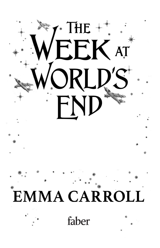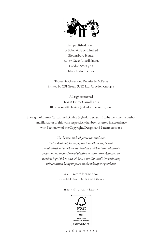

First published in 2021 by Faber & Faber Limited Bloomsbury House, 74–77 Great Russell Street, London WC1B 3DA faberchildrens.co.uk

Typeset in Garamond Premier by MRules Printed by CPI Group (UK) Ltd, Croydon CR0 4YY

All rights reserved Text © Emma Carroll, 2021 Illustrations © Daniela Jaglenka Terrazzini, 2021

The right of Emma Carroll and Daniela Jaglenka Terrazzini to be identified as author and illustrator of this work respectively has been asserted in accordance with Section 77 of the Copyright, Designs and Patents Act 1988

> *This book is sold subject to the condition that it shall not, by way of trade or otherwise, be lent, resold, hired out or otherwise circulated without the publisher's prior consent in any form of binding or cover other than that in which it is published and without a similar condition including this condition being imposed on the subsequent purchaser*

> > A CIP record for this book is available from the British Library

> > > isbn 978–0–571–36443–5



2 4 6 8 10 9 7 5 3 1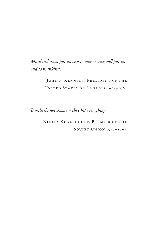*Mankind must put an end to war or war will put an end to mankind.*

> JOHN F. KENNEDY, PRESIDENT OF THE UNITED STATES OF AMERICA 1961-1963

*Bombs do not choose – they hit everything.*

NIKITA KHRUSHCHEV, PREMIER OF THE SOVIET UNION 1958-1964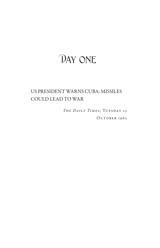## DAY ONE

## US PRESIDENT WARNS CUBA: MISSILES COULD LEAD TO WAR

THE DAILY TIMES, TUESDAY 23 OCTOBER 1962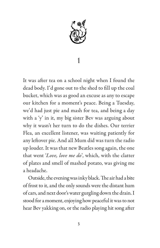

## 1

It was after tea on a school night when I found the dead body. I'd gone out to the shed to fill up the coal bucket, which was as good an excuse as any to escape our kitchen for a moment's peace. Being a Tuesday, we'd had just pie and mash for tea, and being a day with a 'y' in it, my big sister Bev was arguing about why it wasn't her turn to do the dishes. Our terrier Flea, an excellent listener, was waiting patiently for any leftover pie. And all Mum did was turn the radio up louder. It was that new Beatles song again, the one that went '*Love, love me do*', which, with the clatter of plates and smell of mashed potato, was giving me a headache.

Outside, the evening was inky black. The air had a bite of frost to it, and the only sounds were the distant hum of cars, and next door's water gurgling down the drain. I stood for a moment, enjoying how peaceful it was to not hear Bev yakking on, or the radio playing hit song after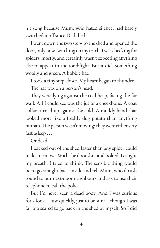hit song because Mum, who hated silence, had barely switched it off since Dad died.

I went down the two steps to the shed and opened the door, only now switching on my torch. I was checking for spiders, mostly, and certainly wasn't expecting anything else to appear in the torchlight. But it did. Something woolly and green. A bobble hat.

I took a tiny step closer. My heart began to thunder.

The hat was on a person's head.

They were lying against the coal heap, facing the far wall. All I could see was the jut of a cheekbone. A coat collar turned up against the cold. A muddy hand that looked more like a freshly dug potato than anything human. The person wasn't moving: they were either very fast asleep . . .

Or dead.

I backed out of the shed faster than any spider could make me move. With the door shut and bolted, I caught my breath. I tried to think. The sensible thing would be to go straight back inside and tell Mum, who'd rush round to our next-door neighbours and ask to use their telephone to call the police.

But I'd never seen a dead body. And I was curious for a look – just quickly, just to be sure – though I was far too scared to go back in the shed by myself. So I did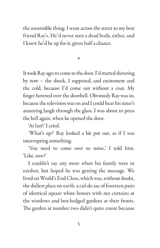the unsensible thing: I went across the street to my best friend Ray's. He'd never seen a dead body, either, and I knew he'd be up for it, given half a chance.

\*

It took Ray ages to come to the door. I'd started shivering by now – the shock, I supposed, and excitement and the cold, because I'd come out without a coat. My finger hovered over the doorbell. Obviously Ray was in, because the television was on and I could hear his sister's annoying laugh through the glass. I was about to press the bell again, when he opened the door.

'At last!' I cried.

'What's up?' Ray looked a bit put out, as if I was interrupting something.

'You need to come over to mine,' I told him. 'Like, *now*!'

I couldn't say any more when his family were in earshot, but hoped he was getting the message. We lived on World's End Close, which was, without doubt, the dullest place on earth: a cul-de-sac of fourteen pairs of identical square white houses with net curtains at the windows and box-hedged gardens at their fronts. The garden at number two didn't quite count because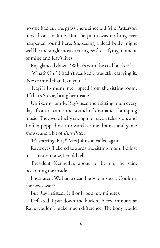no one had cut the grass there since old Mrs Patterson moved out in June. But the point was nothing ever happened round here. So, seeing a dead body might well be the single most exciting *and* terrifying moment of mine and Ray's lives.

Ray glanced down. 'What's with the coal bucket?'

'What? Oh!' I hadn't realised I was still carrying it. 'Never mind that. Can you—'

'Ray?' His mum interrupted from the sitting room. 'If that's Stevie, bring her inside.'

Unlike my family, Ray's used their sitting room every day: from it came the sound of dramatic, thumping music. They were lucky enough to have a television, and I often popped over to watch crime dramas and game shows, and a bit of *Blue Peter*.

'It's starting, Ray!' Mrs Johnson called again.

Ray's eyes flickered towards the sitting room: I'd lost his attention now, I could tell.

'President Kennedy's about to be on,' he said, beckoning me inside.

I hesitated. We had a dead body to inspect. Couldn't the news wait?

But Ray insisted. 'It'll only be a few minutes.'

Defeated, I put down the bucket. A few minutes at Ray's wouldn't make much difference. The body would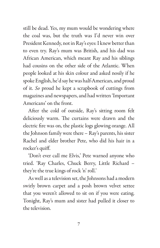still be dead. Yes, my mum would be wondering where the coal was, but the truth was I'd never win over President Kennedy, not in Ray's eyes: I knew better than to even try. Ray's mum was British, and his dad was African American, which meant Ray and his siblings had cousins on the other side of the Atlantic. When people looked at his skin colour and asked nosily if he spoke English, he'd say he was half-American, and proud of it. *So* proud he kept a scrapbook of cuttings from magazines and newspapers, and had written 'Important Americans' on the front.

After the cold of outside, Ray's sitting room felt deliciously warm. The curtains were drawn and the electric fire was on, the plastic logs glowing orange. All the Johnson family were there – Ray's parents, his sister Rachel and elder brother Pete, who did his hair in a rocker's quiff.

'Don't ever call me Elvis,' Pete warned anyone who tried. 'Ray Charles, Chuck Berry, Little Richard – they're the true kings of rock 'n' roll.'

As well as a television set, the Johnsons had a modern swirly brown carpet and a posh brown velvet settee that you weren't allowed to sit on if you were eating. Tonight, Ray's mum and sister had pulled it closer to the television.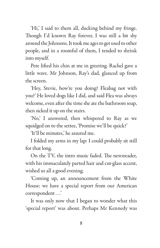'Hi,' I said to them all, ducking behind my fringe. Though I'd known Ray forever, I was still a bit shy around the Johnsons. It took me ages to get used to other people, and in a roomful of them, I tended to shrink into myself.

Pete lifted his chin at me in greeting. Rachel gave a little wave. Mr Johnson, Ray's dad, glanced up from the screen.

'Hey, Stevie, how're you doing? Fleabag not with you?' He loved dogs like I did, and said Flea was always welcome, even after the time she ate the bathroom soap, then sicked it up on the stairs.

'No,' I answered, then whispered to Ray as we squidged on to the settee, 'Promise we'll be quick?'

'It'll be minutes,' he assured me.

I folded my arms in my lap: I could probably sit still for that long.

On the TV, the intro music faded. The newsreader, with his immaculately parted hair and cut-glass accent, wished us all a good evening.

'Coming up, an announcement from the White House: we have a special report from our American correspondent . . .'

It was only now that I began to wonder what this 'special report' was about. Perhaps Mr Kennedy was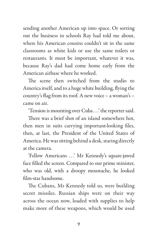sending another American up into space. Or sorting out the business in schools Ray had told me about, where his American cousins couldn't sit in the same classrooms as white kids or use the same toilets or restaurants. It must be important, whatever it was, because Ray's dad had come home early from the American airbase where he worked.

The scene then switched from the studio to America itself, and to a huge white building, flying the country's flag from its roof. A new voice – a woman's – came on air.

'Tension is mounting over Cuba . . .' the reporter said.

There was a brief shot of an island somewhere hot, then men in suits carrying important-looking files, then, at last, the President of the United States of America. He was sitting behind a desk, staring directly at the camera.

'Fellow Americans ...' Mr Kennedy's square-jawed face filled the screen. Compared to our prime minister, who was old, with a droopy moustache, he looked film-star handsome.

The Cubans, Mr Kennedy told us, were building secret missiles. Russian ships were on their way across the ocean now, loaded with supplies to help make more of these weapons, which would be used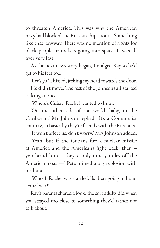to threaten America. This was why the American navy had blocked the Russian ships' route. Something like that, anyway. There was no mention of rights for black people or rockets going into space. It was all over very fast.

As the next news story began, I nudged Ray so he'd get to his feet too.

'Let's go,' I hissed, jerking my head towards the door.

He didn't move. The rest of the Johnsons all started talking at once.

'Where's Cuba?' Rachel wanted to know.

'On the other side of the world, baby, in the Caribbean,' Mr Johnson replied. 'It's a Communist country, so basically they're friends with the Russians.'

'It won't affect us, don't worry,' Mrs Johnson added.

'Yeah, but if the Cubans fire a nuclear missile at America and the Americans fight back, then – you heard him – they're only ninety miles off the American coast—' Pete mimed a big explosion with his hands.

'Whoa!' Rachel was startled. 'Is there going to be an actual war?'

Ray's parents shared a look, the sort adults did when you strayed too close to something they'd rather not talk about.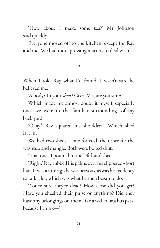'How about I make some tea?' Mr Johnson said quickly.

Everyone moved off to the kitchen, except for Ray and me. We had more pressing matters to deal with.

\*

When I told Ray what I'd found, I wasn't sure he believed me.

'A body? In your *shed*? Geez, Vie, are you sure?'

Which made me almost doubt it myself, especially once we were in the familiar surroundings of my back yard.

'Okay.' Ray squared his shoulders. 'Which shed is it in?'

We had two sheds – one for coal, the other for the washtub and mangle. Both were bolted shut.

'That one.' I pointed to the left-hand shed.

'Right.' Ray rubbed his palms over his clippered-short hair. It was a sure sign he was nervous, as was his tendency to talk a lot, which was what he then began to do.

'You're sure they're dead? How close did you get? Have you checked their pulse or anything? Did they have any belongings on them, like a wallet or a bus pass, because I think—'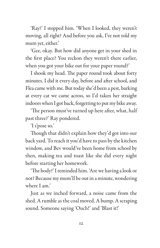'Ray?' I stopped him. 'When I looked, they weren't moving, all right? And before you ask, I've not told my mum yet, either.'

'Gee, okay. But how did anyone get in your shed in the first place? You reckon they weren't there earlier, when you got your bike out for your paper round?'

I shook my head. The paper round took about forty minutes. I did it every day, before and after school, and Flea came with me. But today she'd been a pest, barking at every cat we came across, so I'd taken her straight indoors when I got back, forgetting to put my bike away.

'The person must've turned up here after, what, half past three?' Ray pondered.

'I s'pose so.'

Though that didn't explain how they'd got into our back yard. To reach it you'd have to pass by the kitchen window, and Bev would've been home from school by then, making tea and toast like she did every night before starting her homework.

'The body?' I reminded him. 'Are we having a look or not? Because my mum'll be out in a minute, wondering where I am.'

Just as we inched forward, a noise came from the shed. A rumble as the coal moved. A bump. A scraping sound. Someone saying 'Ouch!' and 'Blast it!'